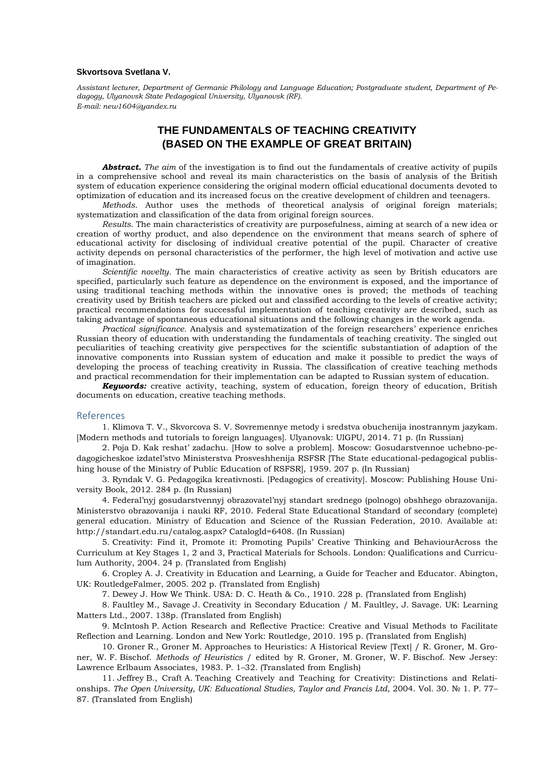## **Skvortsova Svetlana V.**

*Assistant lecturer, Department of Germanic Philology and Language Education; Postgraduate student, Department of Pedagogy, Ulyanovsk State Pedagogical University, Ulyanovsk (RF). E-mail: new1604@yandex.ru*

## **THE FUNDAMENTALS OF TEACHING CREATIVITY (BASED ON THE EXAMPLE OF GREAT BRITAIN)**

*Abstract. The aim* of the investigation is to find out the fundamentals of creative activity of pupils in a comprehensive school and reveal its main characteristics on the basis of analysis of the British system of education experience considering the original modern official educational documents devoted to optimization of education and its increased focus on the creative development of children and teenagers.

*Methods*. Author uses the methods of theoretical analysis of original foreign materials; systematization and classification of the data from original foreign sources.

*Results*. The main characteristics of creativity are purposefulness, aiming at search of a new idea or creation of worthy product, and also dependence on the environment that means search of sphere of educational activity for disclosing of individual creative potential of the pupil. Character of creative activity depends on personal characteristics of the performer, the high level of motivation and active use of imagination.

*Scientific novelty.* The main characteristics of creative activity as seen by British educators are specified, particularly such feature as dependence on the environment is exposed, and the importance of using traditional teaching methods within the innovative ones is proved; the methods of teaching creativity used by British teachers are picked out and classified according to the levels of creative activity; practical recommendations for successful implementation of teaching creativity are described, such as taking advantage of spontaneous educational situations and the following changes in the work agenda.

*Practical significance.* Analysis and systematization of the foreign researchers' experience enriches Russian theory of education with understanding the fundamentals of teaching creativity. The singled out peculiarities of teaching creativity give perspectives for the scientific substantiation of adaption of the innovative components into Russian system of education and make it possible to predict the ways of developing the process of teaching creativity in Russia. The classification of creative teaching methods and practical recommendation for their implementation can be adapted to Russian system of education.

*Keywords:* creative activity, teaching, system of education, foreign theory of education, British documents on education, creative teaching methods.

## References

1. Klimova T. V., Skvorcova S. V. Sovremennye metody i sredstva obuchenija inostrannym jazykam. [Modern methods and tutorials to foreign languages]. Ulyanovsk: UlGPU, 2014. 71 p. (In Russian)

2. Poja D. Kak reshat' zadachu. [How to solve a problem]. Moscow: Gosudarstvennoe uchebno-pedagogicheskoe izdatel'stvo Ministerstva Prosveshhenija RSFSR [The State educational-pedagogical publishing house of the Ministry of Public Education of RSFSR], 1959. 207 p. (In Russian)

3. Ryndak V. G. Pedagogika kreativnosti. [Pedagogics of creativity]. Moscow: Publishing House University Book, 2012. 284 p. (In Russian)

4. Federal'nyj gosudarstvennyj obrazovatel'nyj standart srednego (polnogo) obshhego obrazovanija. Ministerstvo obrazovanija i nauki RF, 2010. Federal State Educational Standard of secondary (complete) general education. Ministry of Education and Science of the Russian Federation, 2010. Available at: http://standart.edu.ru/catalog.aspx? CatalogId=6408. (In Russian)

5. Creativity: Find it, Promote it: Promoting Pupils' Creative Thinking and BehaviourAcross the Curriculum at Key Stages 1, 2 and 3, Practical Materials for Schools. London: Qualifications and Curriculum Authority, 2004. 24 p. (Translated from English)

6. Cropley A. J. Creativity in Education and Learning, a Guide for Teacher and Educator. Abington, UK: RoutledgeFalmer, 2005. 202 p. (Translated from English)

7. Dewey J. How We Think. USA: D. C. Heath & Co., 1910. 228 p. (Translated from English)

8. Faultley M., Savage J. Creativity in Secondary Education / M. Faultley, J. Savage. UK: Learning Matters Ltd., 2007. 138p. (Translated from English)

9. McIntosh P. Action Research and Reflective Practice: Creative and Visual Methods to Facilitate Reflection and Learning. London and New York: Routledge, 2010. 195 p. (Translated from English)

10. Groner R., Groner M. Approaches to Heuristics: A Historical Review [Text] / R. Groner, M. Groner, W. F. Bischof. *Methods of Heuristics* / edited by R. Groner, M. Groner, W. F. Bischof. New Jersey: Lawrence Erlbaum Associates, 1983. P. 1–32. (Translated from English)

11. Jeffrey B., Craft A. Teaching Creatively and Teaching for Creativity: Distinctions and Relationships. *The Open University, UK: Educational Studies, Taylor and Francis Ltd*, 2004. Vol. 30. № 1. P. 77– 87. (Translated from English)